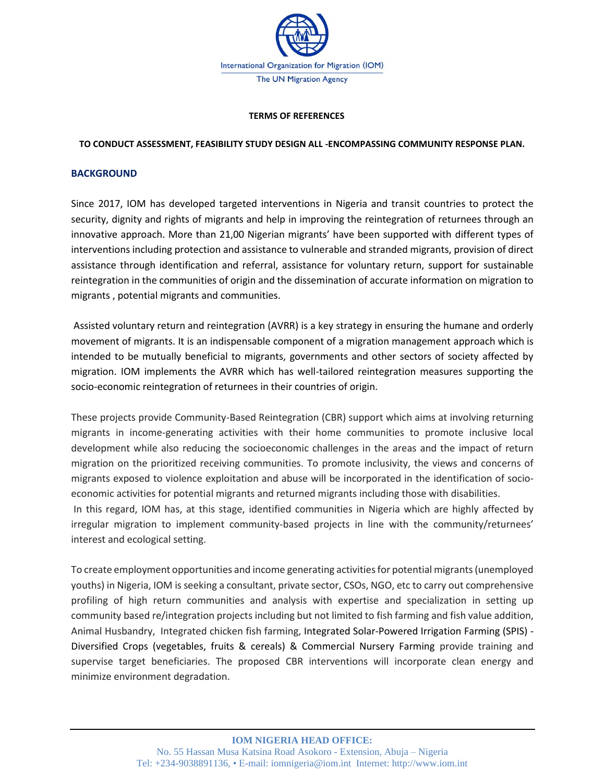

#### **TERMS OF REFERENCES**

### **TO CONDUCT ASSESSMENT, FEASIBILITY STUDY DESIGN ALL -ENCOMPASSING COMMUNITY RESPONSE PLAN.**

#### **BACKGROUND**

Since 2017, IOM has developed targeted interventions in Nigeria and transit countries to protect the security, dignity and rights of migrants and help in improving the reintegration of returnees through an innovative approach. More than 21,00 Nigerian migrants' have been supported with different types of interventions including protection and assistance to vulnerable and stranded migrants, provision of direct assistance through identification and referral, assistance for voluntary return, support for sustainable reintegration in the communities of origin and the dissemination of accurate information on migration to migrants , potential migrants and communities.

Assisted voluntary return and reintegration (AVRR) is a key strategy in ensuring the humane and orderly movement of migrants. It is an indispensable component of a migration management approach which is intended to be mutually beneficial to migrants, governments and other sectors of society affected by migration. IOM implements the AVRR which has well-tailored reintegration measures supporting the socio-economic reintegration of returnees in their countries of origin.

These projects provide Community-Based Reintegration (CBR) support which aims at involving returning migrants in income-generating activities with their home communities to promote inclusive local development while also reducing the socioeconomic challenges in the areas and the impact of return migration on the prioritized receiving communities. To promote inclusivity, the views and concerns of migrants exposed to violence exploitation and abuse will be incorporated in the identification of socioeconomic activities for potential migrants and returned migrants including those with disabilities. In this regard, IOM has, at this stage, identified communities in Nigeria which are highly affected by irregular migration to implement community-based projects in line with the community/returnees' interest and ecological setting.

To create employment opportunities and income generating activities for potential migrants (unemployed youths) in Nigeria, IOM is seeking a consultant, private sector, CSOs, NGO, etc to carry out comprehensive profiling of high return communities and analysis with expertise and specialization in setting up community based re/integration projects including but not limited to fish farming and fish value addition, Animal Husbandry, Integrated chicken fish farming, Integrated Solar-Powered Irrigation Farming (SPIS) - Diversified Crops (vegetables, fruits & cereals) & Commercial Nursery Farming provide training and supervise target beneficiaries. The proposed CBR interventions will incorporate clean energy and minimize environment degradation.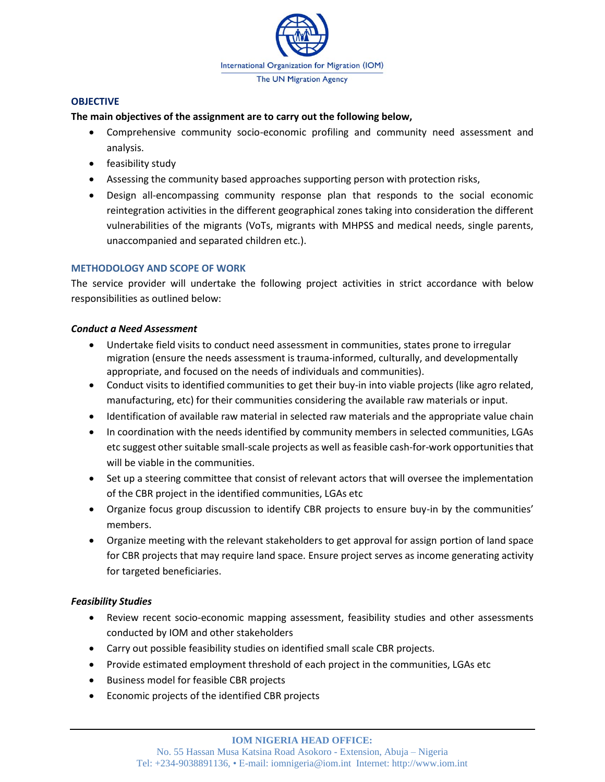

### **OBJECTIVE**

## **The main objectives of the assignment are to carry out the following below,**

- Comprehensive community socio-economic profiling and community need assessment and analysis.
- feasibility study
- Assessing the community based approaches supporting person with protection risks,
- Design all-encompassing community response plan that responds to the social economic reintegration activities in the different geographical zones taking into consideration the different vulnerabilities of the migrants (VoTs, migrants with MHPSS and medical needs, single parents, unaccompanied and separated children etc.).

# **METHODOLOGY AND SCOPE OF WORK**

The service provider will undertake the following project activities in strict accordance with below responsibilities as outlined below:

## *Conduct a Need Assessment*

- Undertake field visits to conduct need assessment in communities, states prone to irregular migration (ensure the needs assessment is trauma-informed, culturally, and developmentally appropriate, and focused on the needs of individuals and communities).
- Conduct visits to identified communities to get their buy-in into viable projects (like agro related, manufacturing, etc) for their communities considering the available raw materials or input.
- Identification of available raw material in selected raw materials and the appropriate value chain
- In coordination with the needs identified by community members in selected communities, LGAs etc suggest other suitable small-scale projects as well as feasible cash-for-work opportunities that will be viable in the communities.
- Set up a steering committee that consist of relevant actors that will oversee the implementation of the CBR project in the identified communities, LGAs etc
- Organize focus group discussion to identify CBR projects to ensure buy-in by the communities' members.
- Organize meeting with the relevant stakeholders to get approval for assign portion of land space for CBR projects that may require land space. Ensure project serves as income generating activity for targeted beneficiaries.

# *Feasibility Studies*

- Review recent socio-economic mapping assessment, feasibility studies and other assessments conducted by IOM and other stakeholders
- Carry out possible feasibility studies on identified small scale CBR projects.
- Provide estimated employment threshold of each project in the communities, LGAs etc
- Business model for feasible CBR projects
- Economic projects of the identified CBR projects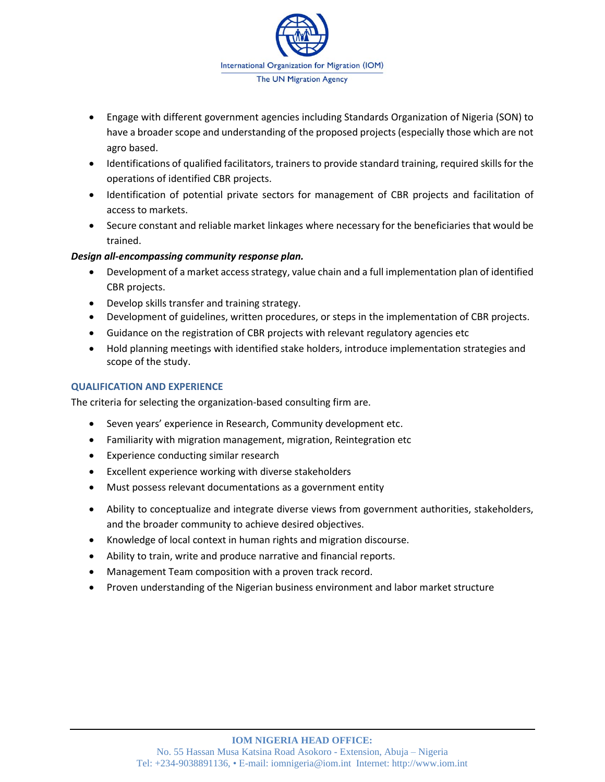

- Engage with different government agencies including Standards Organization of Nigeria (SON) to have a broader scope and understanding of the proposed projects (especially those which are not agro based.
- Identifications of qualified facilitators, trainers to provide standard training, required skills for the operations of identified CBR projects.
- Identification of potential private sectors for management of CBR projects and facilitation of access to markets.
- Secure constant and reliable market linkages where necessary for the beneficiaries that would be trained.

# *Design all-encompassing community response plan.*

- Development of a market access strategy, value chain and a full implementation plan of identified CBR projects.
- Develop skills transfer and training strategy.
- Development of guidelines, written procedures, or steps in the implementation of CBR projects.
- Guidance on the registration of CBR projects with relevant regulatory agencies etc
- Hold planning meetings with identified stake holders, introduce implementation strategies and scope of the study.

# **QUALIFICATION AND EXPERIENCE**

The criteria for selecting the organization-based consulting firm are.

- Seven years' experience in Research, Community development etc.
- Familiarity with migration management, migration, Reintegration etc
- Experience conducting similar research
- Excellent experience working with diverse stakeholders
- Must possess relevant documentations as a government entity
- Ability to conceptualize and integrate diverse views from government authorities, stakeholders, and the broader community to achieve desired objectives.
- Knowledge of local context in human rights and migration discourse.
- Ability to train, write and produce narrative and financial reports.
- Management Team composition with a proven track record.
- Proven understanding of the Nigerian business environment and labor market structure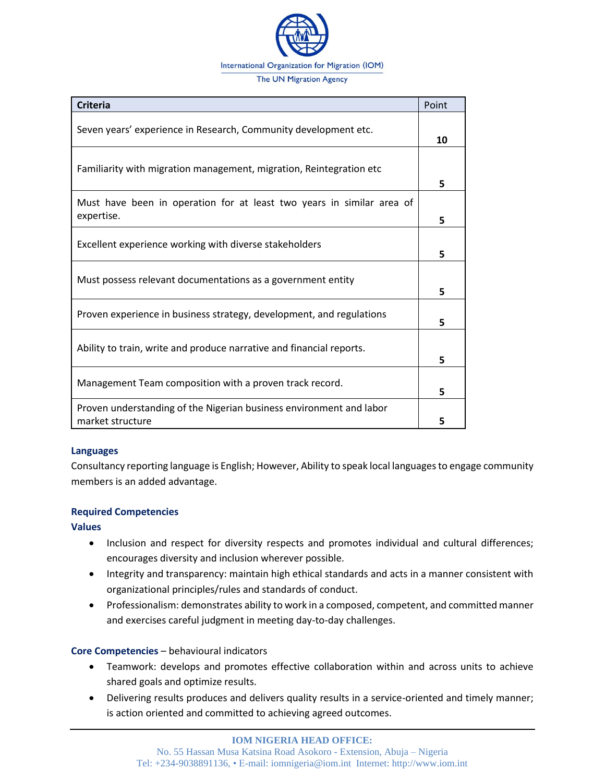

| <b>Criteria</b>                                                                         | Point |
|-----------------------------------------------------------------------------------------|-------|
| Seven years' experience in Research, Community development etc.                         | 10    |
| Familiarity with migration management, migration, Reintegration etc                     | 5     |
| Must have been in operation for at least two years in similar area of<br>expertise.     | 5     |
| Excellent experience working with diverse stakeholders                                  | 5     |
| Must possess relevant documentations as a government entity                             | 5     |
| Proven experience in business strategy, development, and regulations                    | 5     |
| Ability to train, write and produce narrative and financial reports.                    | 5     |
| Management Team composition with a proven track record.                                 | 5     |
| Proven understanding of the Nigerian business environment and labor<br>market structure | 5     |

### **Languages**

Consultancy reporting language is English; However, Ability to speak local languages to engage community members is an added advantage.

### **Required Competencies**

**Values** 

- Inclusion and respect for diversity respects and promotes individual and cultural differences; encourages diversity and inclusion wherever possible.
- Integrity and transparency: maintain high ethical standards and acts in a manner consistent with organizational principles/rules and standards of conduct.
- Professionalism: demonstrates ability to work in a composed, competent, and committed manner and exercises careful judgment in meeting day-to-day challenges.

# **Core Competencies** – behavioural indicators

- Teamwork: develops and promotes effective collaboration within and across units to achieve shared goals and optimize results.
- Delivering results produces and delivers quality results in a service-oriented and timely manner; is action oriented and committed to achieving agreed outcomes.